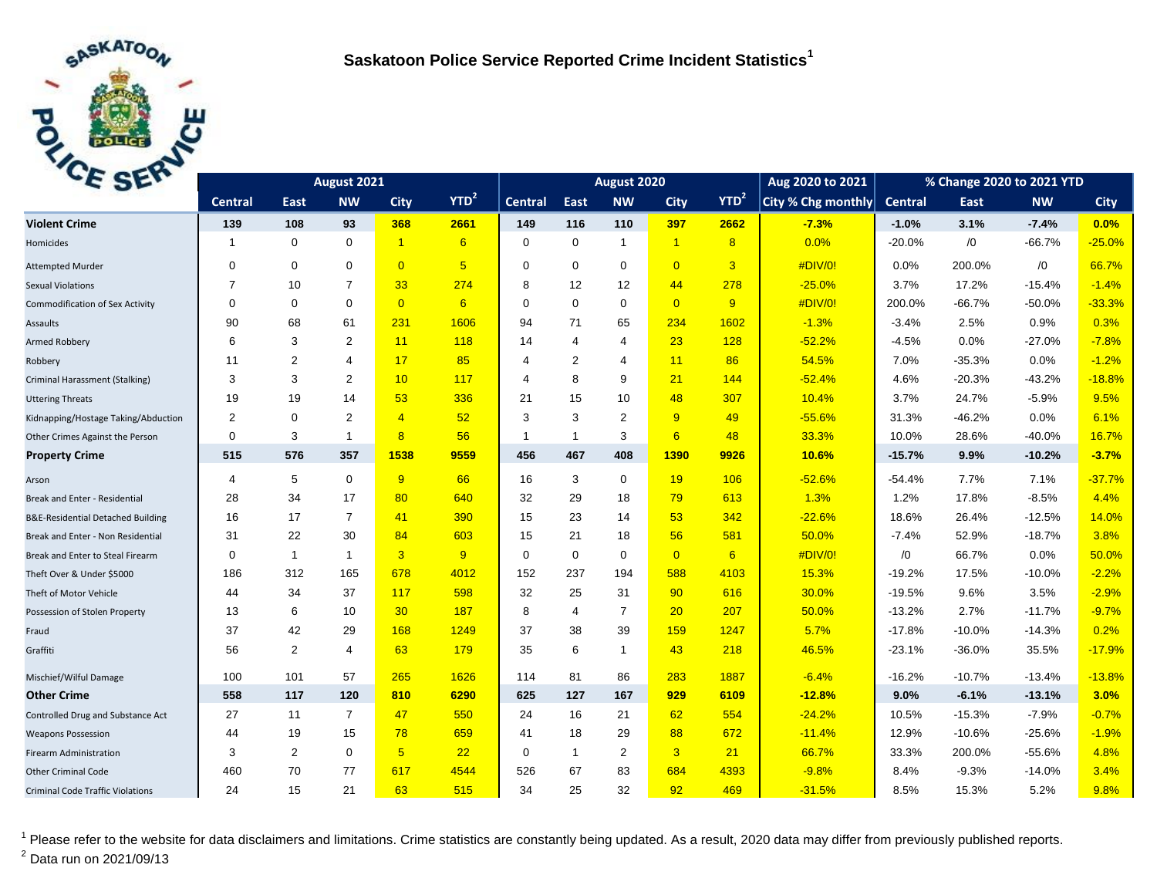

| E SEL                                   |                | August 2021    |                |                | August 2020     |                |                |                |                | Aug 2020 to 2021 | % Change 2020 to 2021 YTD |          |            |            |             |
|-----------------------------------------|----------------|----------------|----------------|----------------|-----------------|----------------|----------------|----------------|----------------|------------------|---------------------------|----------|------------|------------|-------------|
|                                         | <b>Central</b> | East           | <b>NW</b>      | <b>City</b>    | $YTD^2$         | <b>Central</b> | East           | <b>NW</b>      | <b>City</b>    | YTD <sup>2</sup> | City % Chg monthly        | Central  | East       | <b>NW</b>  | <b>City</b> |
| <b>Violent Crime</b>                    | 139            | 108            | 93             | 368            | 2661            | 149            | 116            | 110            | 397            | 2662             | $-7.3%$                   | $-1.0%$  | 3.1%       | $-7.4%$    | 0.0%        |
| Homicides                               | -1             | $\mathbf 0$    | $\mathbf 0$    | $\overline{1}$ | 6               | $\Omega$       | $\mathbf 0$    | $\mathbf{1}$   | $\overline{1}$ | 8                | 0.0%                      | $-20.0%$ | $\sqrt{0}$ | $-66.7%$   | $-25.0%$    |
| <b>Attempted Murder</b>                 | 0              | $\mathbf 0$    | $\Omega$       | $\Omega$       | $5\overline{)}$ | $\Omega$       | $\Omega$       | $\mathbf 0$    | $\overline{0}$ | $\overline{3}$   | #DIV/0!                   | 0.0%     | 200.0%     | $\sqrt{0}$ | 66.7%       |
| <b>Sexual Violations</b>                | $\overline{7}$ | 10             | $\overline{7}$ | 33             | 274             | 8              | 12             | 12             | 44             | 278              | $-25.0%$                  | 3.7%     | 17.2%      | $-15.4%$   | $-1.4%$     |
| <b>Commodification of Sex Activity</b>  | 0              | $\mathbf 0$    | $\mathbf 0$    | $\overline{0}$ | 6               | $\Omega$       | $\Omega$       | $\mathbf 0$    | $\overline{0}$ | 9                | #DIV/0!                   | 200.0%   | $-66.7%$   | $-50.0%$   | $-33.3%$    |
| Assaults                                | 90             | 68             | 61             | 231            | 1606            | 94             | 71             | 65             | 234            | 1602             | $-1.3%$                   | $-3.4%$  | 2.5%       | 0.9%       | 0.3%        |
| Armed Robbery                           | 6              | 3              | $\overline{2}$ | 11             | 118             | 14             | $\overline{4}$ | 4              | 23             | 128              | $-52.2%$                  | $-4.5%$  | 0.0%       | $-27.0%$   | $-7.8%$     |
| Robbery                                 | 11             | 2              | 4              | 17             | 85              | 4              | $\overline{2}$ | $\overline{4}$ | 11             | 86               | 54.5%                     | 7.0%     | $-35.3%$   | 0.0%       | $-1.2%$     |
| Criminal Harassment (Stalking)          | 3              | 3              | 2              | 10             | 117             | 4              | 8              | 9              | 21             | 144              | $-52.4%$                  | 4.6%     | $-20.3%$   | $-43.2%$   | $-18.8%$    |
| <b>Uttering Threats</b>                 | 19             | 19             | 14             | 53             | 336             | 21             | 15             | 10             | 48             | 307              | 10.4%                     | 3.7%     | 24.7%      | $-5.9%$    | 9.5%        |
| Kidnapping/Hostage Taking/Abduction     | 2              | $\mathbf 0$    | 2              | $\overline{4}$ | 52              | 3              | 3              | 2              | 9              | 49               | $-55.6%$                  | 31.3%    | $-46.2%$   | 0.0%       | 6.1%        |
| Other Crimes Against the Person         | $\mathbf 0$    | 3              | $\mathbf{1}$   | 8              | 56              |                | $\overline{1}$ | 3              | 6              | 48               | 33.3%                     | 10.0%    | 28.6%      | $-40.0%$   | 16.7%       |
| <b>Property Crime</b>                   | 515            | 576            | 357            | 1538           | 9559            | 456            | 467            | 408            | 1390           | 9926             | 10.6%                     | $-15.7%$ | 9.9%       | $-10.2%$   | $-3.7%$     |
| Arson                                   | 4              | 5              | $\mathbf 0$    | 9              | 66              | 16             | 3              | $\mathbf 0$    | 19             | 106              | $-52.6%$                  | $-54.4%$ | 7.7%       | 7.1%       | $-37.7%$    |
| Break and Enter - Residential           | 28             | 34             | 17             | 80             | 640             | 32             | 29             | 18             | 79             | 613              | 1.3%                      | 1.2%     | 17.8%      | $-8.5%$    | 4.4%        |
| B&E-Residential Detached Building       | 16             | 17             | $\overline{7}$ | 41             | 390             | 15             | 23             | 14             | 53             | 342              | $-22.6%$                  | 18.6%    | 26.4%      | $-12.5%$   | 14.0%       |
| Break and Enter - Non Residential       | 31             | 22             | 30             | 84             | 603             | 15             | 21             | 18             | 56             | 581              | 50.0%                     | $-7.4%$  | 52.9%      | $-18.7%$   | 3.8%        |
| Break and Enter to Steal Firearm        | 0              | $\overline{1}$ | $\mathbf{1}$   | $\overline{3}$ | 9               | 0              | $\Omega$       | $\mathbf 0$    | $\overline{0}$ | 6                | #DIV/0!                   | /0       | 66.7%      | 0.0%       | 50.0%       |
| Theft Over & Under \$5000               | 186            | 312            | 165            | 678            | 4012            | 152            | 237            | 194            | 588            | 4103             | 15.3%                     | $-19.2%$ | 17.5%      | $-10.0%$   | $-2.2%$     |
| Theft of Motor Vehicle                  | 44             | 34             | 37             | 117            | 598             | 32             | 25             | 31             | 90             | 616              | 30.0%                     | $-19.5%$ | 9.6%       | 3.5%       | $-2.9%$     |
| Possession of Stolen Property           | 13             | 6              | 10             | 30             | 187             | 8              | $\overline{4}$ | $\overline{7}$ | 20             | 207              | 50.0%                     | $-13.2%$ | 2.7%       | $-11.7%$   | $-9.7%$     |
| Fraud                                   | 37             | 42             | 29             | 168            | 1249            | 37             | 38             | 39             | 159            | 1247             | 5.7%                      | $-17.8%$ | $-10.0%$   | $-14.3%$   | 0.2%        |
| Graffiti                                | 56             | 2              | 4              | 63             | 179             | 35             | 6              | $\overline{1}$ | 43             | 218              | 46.5%                     | $-23.1%$ | -36.0%     | 35.5%      | $-17.9%$    |
| Mischief/Wilful Damage                  | 100            | 101            | 57             | 265            | 1626            | 114            | 81             | 86             | 283            | 1887             | $-6.4%$                   | $-16.2%$ | $-10.7%$   | $-13.4%$   | $-13.8%$    |
| <b>Other Crime</b>                      | 558            | 117            | 120            | 810            | 6290            | 625            | 127            | 167            | 929            | 6109             | $-12.8%$                  | 9.0%     | $-6.1%$    | $-13.1%$   | 3.0%        |
| Controlled Drug and Substance Act       | 27             | 11             | $\overline{7}$ | 47             | 550             | 24             | 16             | 21             | 62             | 554              | $-24.2%$                  | 10.5%    | $-15.3%$   | $-7.9%$    | $-0.7%$     |
| <b>Weapons Possession</b>               | 44             | 19             | 15             | 78             | 659             | 41             | 18             | 29             | 88             | 672              | $-11.4%$                  | 12.9%    | $-10.6%$   | $-25.6%$   | $-1.9%$     |
| Firearm Administration                  | 3              | $\overline{2}$ | $\mathbf 0$    | 5 <sup>5</sup> | 22              | 0              | $\mathbf{1}$   | 2              | 3 <sup>2</sup> | 21               | 66.7%                     | 33.3%    | 200.0%     | $-55.6%$   | 4.8%        |
| <b>Other Criminal Code</b>              | 460            | 70             | 77             | 617            | 4544            | 526            | 67             | 83             | 684            | 4393             | $-9.8%$                   | 8.4%     | $-9.3%$    | $-14.0%$   | 3.4%        |
| <b>Criminal Code Traffic Violations</b> | 24             | 15             | 21             | 63             | 515             | 34             | 25             | 32             | 92             | 469              | $-31.5%$                  | 8.5%     | 15.3%      | 5.2%       | 9.8%        |

<sup>1</sup> Please refer to the website for data disclaimers and limitations. Crime statistics are constantly being updated. As a result, 2020 data may differ from previously published reports.  $<sup>2</sup>$  Data run on 2021/09/13</sup>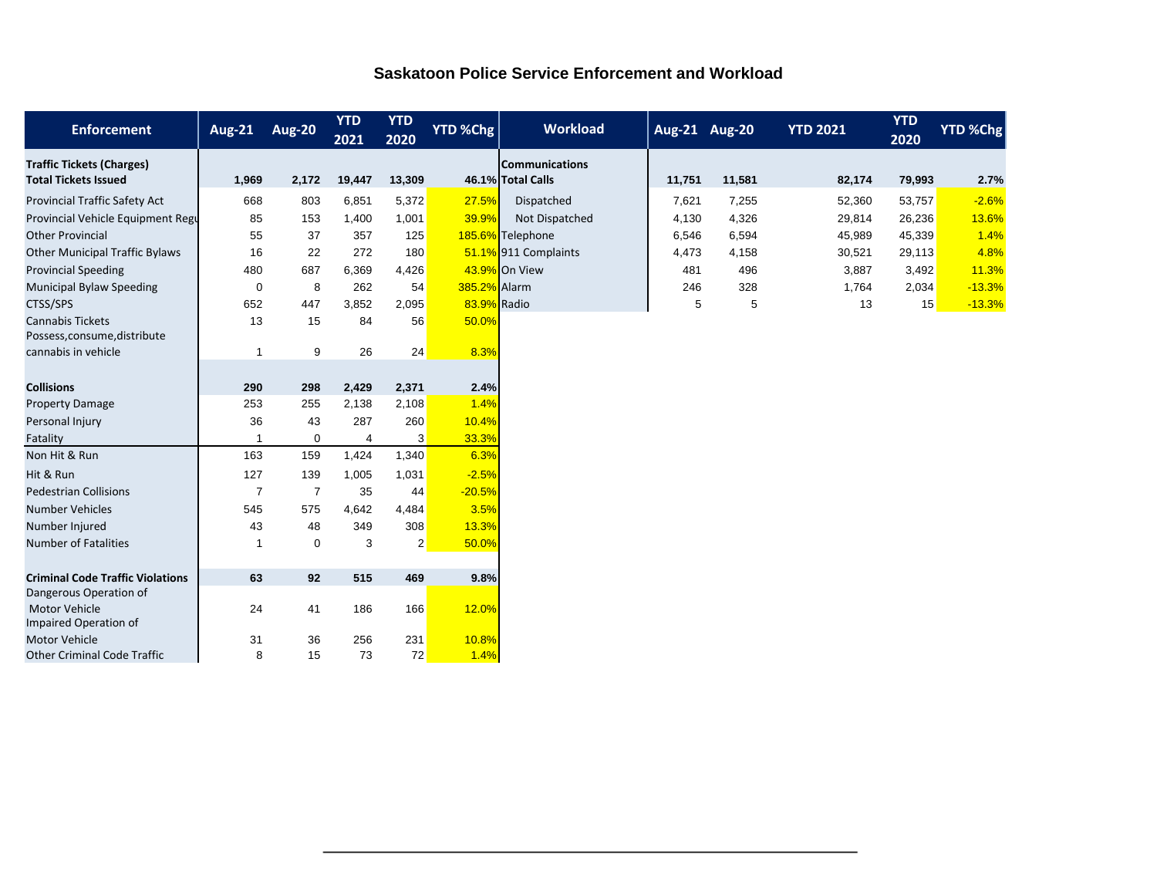| <b>Saskatoon Police Service Enforcement and Workload</b> |  |
|----------------------------------------------------------|--|
|                                                          |  |

| <b>Enforcement</b>                            | <b>Aug-21</b>  | <b>Aug-20</b>  | <b>YTD</b><br>2021 | <b>YTD</b><br>2020 | YTD %Chg      | <b>Workload</b>       | Aug-21 Aug-20 |        | <b>YTD 2021</b> | <b>YTD</b><br>2020 | <b>YTD %Chg</b> |
|-----------------------------------------------|----------------|----------------|--------------------|--------------------|---------------|-----------------------|---------------|--------|-----------------|--------------------|-----------------|
| <b>Traffic Tickets (Charges)</b>              |                |                |                    |                    |               | <b>Communications</b> |               |        |                 |                    |                 |
| <b>Total Tickets Issued</b>                   | 1,969          | 2,172          | 19,447             | 13,309             |               | 46.1% Total Calls     | 11,751        | 11,581 | 82,174          | 79,993             | 2.7%            |
| Provincial Traffic Safety Act                 | 668            | 803            | 6,851              | 5,372              | 27.5%         | Dispatched            | 7,621         | 7,255  | 52,360          | 53,757             | $-2.6%$         |
| Provincial Vehicle Equipment Regu             | 85             | 153            | 1,400              | 1,001              | 39.9%         | Not Dispatched        | 4,130         | 4,326  | 29,814          | 26,236             | 13.6%           |
| <b>Other Provincial</b>                       | 55             | 37             | 357                | 125                |               | 185.6% Telephone      | 6,546         | 6,594  | 45,989          | 45,339             | 1.4%            |
| <b>Other Municipal Traffic Bylaws</b>         | 16             | 22             | 272                | 180                |               | 51.1% 911 Complaints  | 4,473         | 4,158  | 30,521          | 29,113             | 4.8%            |
| <b>Provincial Speeding</b>                    | 480            | 687            | 6,369              | 4,426              |               | 43.9% On View         | 481           | 496    | 3,887           | 3,492              | 11.3%           |
| <b>Municipal Bylaw Speeding</b>               | $\mathbf 0$    | 8              | 262                | 54                 | 385.2% Alarm  |                       | 246           | 328    | 1,764           | 2,034              | $-13.3%$        |
| CTSS/SPS                                      | 652            | 447            | 3,852              | 2,095              | 83.9% Radio   |                       | 5             | 5      | 13              | 15                 | $-13.3%$        |
| <b>Cannabis Tickets</b>                       | 13             | 15             | 84                 | 56                 | 50.0%         |                       |               |        |                 |                    |                 |
| Possess, consume, distribute                  |                |                |                    |                    |               |                       |               |        |                 |                    |                 |
| cannabis in vehicle                           | -1             | 9              | 26                 | 24                 | 8.3%          |                       |               |        |                 |                    |                 |
|                                               |                |                |                    |                    |               |                       |               |        |                 |                    |                 |
| <b>Collisions</b>                             | 290            | 298            | 2,429              | 2,371              | 2.4%          |                       |               |        |                 |                    |                 |
| <b>Property Damage</b>                        | 253            | 255            | 2,138              | 2,108              | 1.4%          |                       |               |        |                 |                    |                 |
| Personal Injury                               | 36             | 43             | 287                | 260                | 10.4%         |                       |               |        |                 |                    |                 |
| Fatality                                      |                | 0              | $\overline{4}$     | 3                  | 33.3%         |                       |               |        |                 |                    |                 |
| Non Hit & Run                                 | 163            | 159            | 1,424              | 1,340              | 6.3%          |                       |               |        |                 |                    |                 |
| Hit & Run                                     | 127            | 139            | 1,005              | 1,031              | $-2.5%$       |                       |               |        |                 |                    |                 |
| <b>Pedestrian Collisions</b>                  | $\overline{7}$ | $\overline{7}$ | 35                 | 44                 | $-20.5%$      |                       |               |        |                 |                    |                 |
| <b>Number Vehicles</b>                        | 545            | 575            | 4,642              | 4,484              | 3.5%          |                       |               |        |                 |                    |                 |
| Number Injured                                | 43             | 48             | 349                | 308                | 13.3%         |                       |               |        |                 |                    |                 |
| <b>Number of Fatalities</b>                   | -1             | 0              | 3                  | $\overline{2}$     | 50.0%         |                       |               |        |                 |                    |                 |
|                                               |                |                |                    |                    |               |                       |               |        |                 |                    |                 |
| <b>Criminal Code Traffic Violations</b>       | 63             | 92             | 515                | 469                | 9.8%          |                       |               |        |                 |                    |                 |
| Dangerous Operation of                        |                |                |                    |                    |               |                       |               |        |                 |                    |                 |
| Motor Vehicle                                 | 24             | 41             | 186                | 166                | 12.0%         |                       |               |        |                 |                    |                 |
| Impaired Operation of<br><b>Motor Vehicle</b> |                |                |                    |                    |               |                       |               |        |                 |                    |                 |
| <b>Other Criminal Code Traffic</b>            | 31<br>8        | 36<br>15       | 256<br>73          | 231<br>72          | 10.8%<br>1.4% |                       |               |        |                 |                    |                 |
|                                               |                |                |                    |                    |               |                       |               |        |                 |                    |                 |